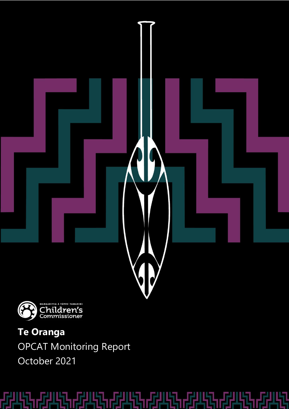



**Te Oranga** OPCAT Monitoring Report October 2021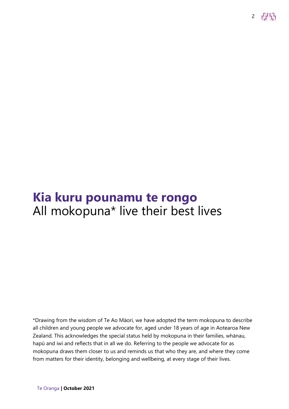# **Kia kuru pounamu te rongo** All mokopuna\* live their best lives

\*Drawing from the wisdom of Te Ao Māori, we have adopted the term mokopuna to describe all children and young people we advocate for, aged under 18 years of age in Aotearoa New Zealand. This acknowledges the special status held by mokopuna in their families, whānau, hapū and iwi and reflects that in all we do. Referring to the people we advocate for as mokopuna draws them closer to us and reminds us that who they are, and where they come from matters for their identity, belonging and wellbeing, at every stage of their lives.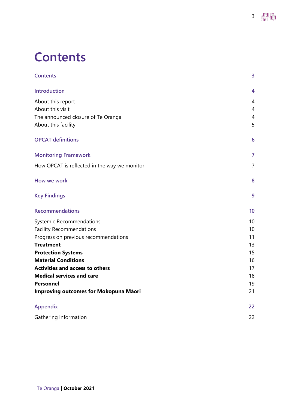# <span id="page-2-0"></span>**Contents**

| <b>Contents</b>                              | 3              |
|----------------------------------------------|----------------|
| <b>Introduction</b>                          | 4              |
| About this report                            | $\overline{4}$ |
| About this visit                             | $\overline{4}$ |
| The announced closure of Te Oranga           | 4              |
| About this facility                          | 5              |
| <b>OPCAT definitions</b>                     | 6              |
| <b>Monitoring Framework</b>                  | $\overline{7}$ |
| How OPCAT is reflected in the way we monitor | $\overline{7}$ |
| How we work                                  | 8              |
| <b>Key Findings</b>                          | 9              |
| <b>Recommendations</b>                       | 10             |
| Systemic Recommendations                     | 10             |
| <b>Facility Recommendations</b>              | 10             |
| Progress on previous recommendations         | 11             |
| <b>Treatment</b>                             | 13             |
| <b>Protection Systems</b>                    | 15             |
| <b>Material Conditions</b>                   | 16             |
| <b>Activities and access to others</b>       | 17             |
| <b>Medical services and care</b>             | 18             |
| <b>Personnel</b>                             | 19             |
| Improving outcomes for Mokopuna Māori        | 21             |
| <b>Appendix</b>                              | 22             |
| Gathering information                        | 22             |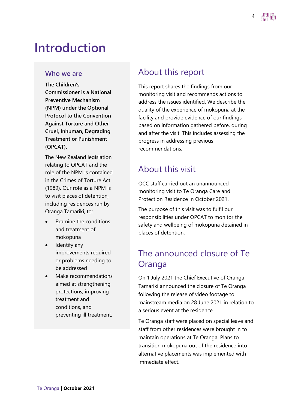# <span id="page-3-0"></span>**Introduction**

#### **Who we are**

**The Children's Commissioner is a National Preventive Mechanism (NPM) under the Optional Protocol to the Convention Against Torture and Other Cruel, Inhuman, Degrading Treatment or Punishment (OPCAT).**

The New Zealand legislation relating to OPCAT and the role of the NPM is contained in the Crimes of Torture Act (1989). Our role as a NPM is to visit places of detention, including residences run by Oranga Tamariki, to:

- Examine the conditions and treatment of mokopuna
- Identify any improvements required or problems needing to be addressed
- Make recommendations aimed at strengthening protections, improving treatment and conditions, and preventing ill treatment.

# <span id="page-3-1"></span>About this report

This report shares the findings from our monitoring visit and recommends actions to address the issues identified. We describe the quality of the experience of mokopuna at the facility and provide evidence of our findings based on information gathered before, during and after the visit. This includes assessing the progress in addressing previous recommendations.

# <span id="page-3-2"></span>About this visit

OCC staff carried out an unannounced monitoring visit to Te Oranga Care and Protection Residence in October 2021.

The purpose of this visit was to fulfil our responsibilities under OPCAT to monitor the safety and wellbeing of mokopuna detained in places of detention.

# <span id="page-3-3"></span>The announced closure of Te **Oranga**

On 1 July 2021 the Chief Executive of Oranga Tamariki announced the closure of Te Oranga following the release of video footage to mainstream media on 28 June 2021 in relation to a serious event at the residence.

Te Oranga staff were placed on special leave and staff from other residences were brought in to maintain operations at Te Oranga. Plans to transition mokopuna out of the residence into alternative placements was implemented with immediate effect.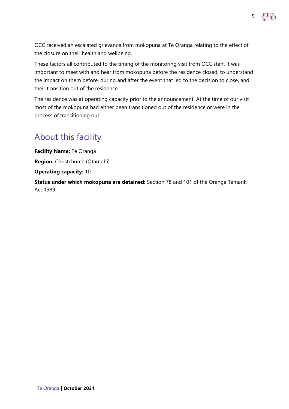OCC received an escalated grievance from mokopuna at Te Oranga relating to the effect of the closure on their health and wellbeing.

5 PR

These factors all contributed to the timing of the monitoring visit from OCC staff. It was important to meet with and hear from mokopuna before the residence closed, to understand the impact on them before, during and after the event that led to the decision to close, and their transition out of the residence.

The residence was at operating capacity prior to the announcement. At the time of our visit most of the mokopuna had either been transitioned out of the residence or were in the process of transitioning out.

# <span id="page-4-0"></span>About this facility

**Facility Name:** Te Oranga **Region:** Christchurch (Otautahi) **Operating capacity:** 10 **Status under which mokopuna are detained:** Section 78 and 101 of the Oranga Tamariki Act 1989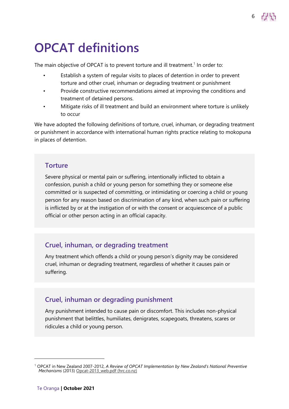# <span id="page-5-0"></span>**OPCAT definitions**

The main objective of OPCAT is to prevent torture and ill treatment.<sup>1</sup> In order to:

Establish a system of regular visits to places of detention in order to prevent torture and other cruel, inhuman or degrading treatment or punishment

6

- Provide constructive recommendations aimed at improving the conditions and treatment of detained persons.
- Mitigate risks of ill treatment and build an environment where torture is unlikely to occur

We have adopted the following definitions of torture, cruel, inhuman, or degrading treatment or punishment in accordance with international human rights practice relating to mokopuna in places of detention.

#### **Torture**

Severe physical or mental pain or suffering, intentionally inflicted to obtain a confession, punish a child or young person for something they or someone else committed or is suspected of committing, or intimidating or coercing a child or young person for any reason based on discrimination of any kind, when such pain or suffering is inflicted by or at the instigation of or with the consent or acquiescence of a public official or other person acting in an official capacity.

#### **Cruel, inhuman, or degrading treatment**

Any treatment which offends a child or young person's dignity may be considered cruel, inhuman or degrading treatment, regardless of whether it causes pain or suffering.

#### **Cruel, inhuman or degrading punishment**

Any punishment intended to cause pain or discomfort. This includes non-physical punishment that belittles, humiliates, denigrates, scapegoats, threatens, scares or ridicules a child or young person.

<sup>1</sup> OPCAT in New Zealand 2007-2012, *A Review of OPCAT Implementation by New Zealand's National Preventive Mechanisms* (2013) [Opcat-2013\\_web.pdf \(hrc.co.nz\)](https://www.hrc.co.nz/files/2214/2398/7100/Opcat-2013_web.pdf)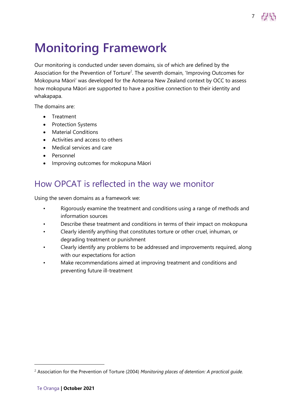

# <span id="page-6-0"></span>**Monitoring Framework**

Our monitoring is conducted under seven domains, six of which are defined by the Association for the Prevention of Torture<sup>2</sup>. The seventh domain, 'Improving Outcomes for Mokopuna Māori' was developed for the Aotearoa New Zealand context by OCC to assess how mokopuna Māori are supported to have a positive connection to their identity and whakapapa.

The domains are:

- Treatment
- Protection Systems
- Material Conditions
- Activities and access to others
- Medical services and care
- Personnel
- Improving outcomes for mokopuna Māori

# <span id="page-6-1"></span>How OPCAT is reflected in the way we monitor

Using the seven domains as a framework we:

- Rigorously examine the treatment and conditions using a range of methods and information sources
- Describe these treatment and conditions in terms of their impact on mokopuna
- Clearly identify anything that constitutes torture or other cruel, inhuman, or degrading treatment or punishment
- Clearly identify any problems to be addressed and improvements required, along with our expectations for action
- Make recommendations aimed at improving treatment and conditions and preventing future ill-treatment

<sup>2</sup> Association for the Prevention of Torture (2004) *Monitoring places of detention: A practical guide.*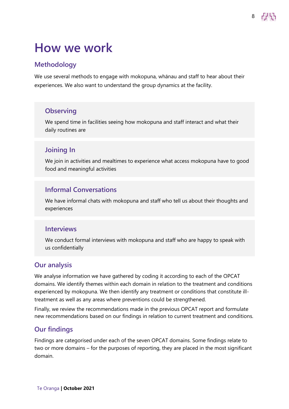# <span id="page-7-0"></span>**How we work**

#### **Methodology**

We use several methods to engage with mokopuna, whānau and staff to hear about their experiences. We also want to understand the group dynamics at the facility.

#### **Observing**

We spend time in facilities seeing how mokopuna and staff interact and what their daily routines are

#### **Joining In**

We join in activities and mealtimes to experience what access mokopuna have to good food and meaningful activities

#### **Informal Conversations**

We have informal chats with mokopuna and staff who tell us about their thoughts and experiences

#### **Interviews**

We conduct formal interviews with mokopuna and staff who are happy to speak with us confidentially

#### **Our analysis**

We analyse information we have gathered by coding it according to each of the OPCAT domains. We identify themes within each domain in relation to the treatment and conditions experienced by mokopuna. We then identify any treatment or conditions that constitute illtreatment as well as any areas where preventions could be strengthened.

Finally, we review the recommendations made in the previous OPCAT report and formulate new recommendations based on our findings in relation to current treatment and conditions.

#### **Our findings**

Findings are categorised under each of the seven OPCAT domains. Some findings relate to two or more domains – for the purposes of reporting, they are placed in the most significant domain.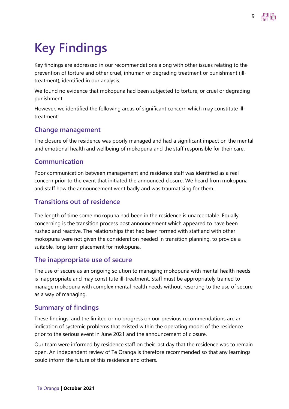# <span id="page-8-0"></span>**Key Findings**

Key findings are addressed in our recommendations along with other issues relating to the prevention of torture and other cruel, inhuman or degrading treatment or punishment (illtreatment), identified in our analysis.

We found no evidence that mokopuna had been subjected to torture, or cruel or degrading punishment.

However, we identified the following areas of significant concern which may constitute illtreatment:

#### **Change management**

The closure of the residence was poorly managed and had a significant impact on the mental and emotional health and wellbeing of mokopuna and the staff responsible for their care.

#### **Communication**

Poor communication between management and residence staff was identified as a real concern prior to the event that initiated the announced closure. We heard from mokopuna and staff how the announcement went badly and was traumatising for them.

#### **Transitions out of residence**

The length of time some mokopuna had been in the residence is unacceptable. Equally concerning is the transition process post announcement which appeared to have been rushed and reactive. The relationships that had been formed with staff and with other mokopuna were not given the consideration needed in transition planning, to provide a suitable, long term placement for mokopuna.

#### **The inappropriate use of secure**

The use of secure as an ongoing solution to managing mokopuna with mental health needs is inappropriate and may constitute ill-treatment. Staff must be appropriately trained to manage mokopuna with complex mental health needs without resorting to the use of secure as a way of managing.

#### **Summary of findings**

These findings, and the limited or no progress on our previous recommendations are an indication of systemic problems that existed within the operating model of the residence prior to the serious event in June 2021 and the announcement of closure.

Our team were informed by residence staff on their last day that the residence was to remain open. An independent review of Te Oranga is therefore recommended so that any learnings could inform the future of this residence and others.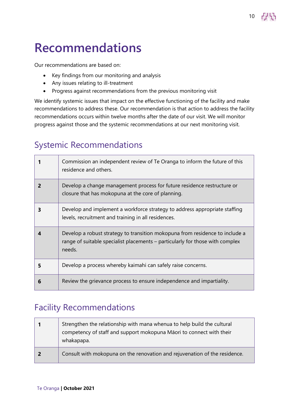# <span id="page-9-0"></span>**Recommendations**

Our recommendations are based on:

- Key findings from our monitoring and analysis
- Any issues relating to ill-treatment
- Progress against recommendations from the previous monitoring visit

We identify systemic issues that impact on the effective functioning of the facility and make recommendations to address these. Our recommendation is that action to address the facility recommendations occurs within twelve months after the date of our visit. We will monitor progress against those and the systemic recommendations at our next monitoring visit.

10

# <span id="page-9-1"></span>Systemic Recommendations

|   | Commission an independent review of Te Oranga to inform the future of this<br>residence and others.                                                                     |
|---|-------------------------------------------------------------------------------------------------------------------------------------------------------------------------|
| 2 | Develop a change management process for future residence restructure or<br>closure that has mokopuna at the core of planning.                                           |
| 3 | Develop and implement a workforce strategy to address appropriate staffing<br>levels, recruitment and training in all residences.                                       |
|   | Develop a robust strategy to transition mokopuna from residence to include a<br>range of suitable specialist placements - particularly for those with complex<br>needs. |
| 5 | Develop a process whereby kaimahi can safely raise concerns.                                                                                                            |
| 6 | Review the grievance process to ensure independence and impartiality.                                                                                                   |

## <span id="page-9-2"></span>Facility Recommendations

|    | Strengthen the relationship with mana whenua to help build the cultural<br>competency of staff and support mokopuna Māori to connect with their<br>whakapapa. |
|----|---------------------------------------------------------------------------------------------------------------------------------------------------------------|
| -2 | Consult with mokopuna on the renovation and rejuvenation of the residence.                                                                                    |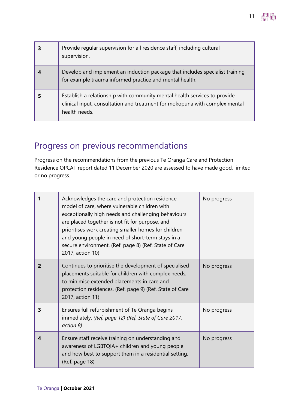| Provide regular supervision for all residence staff, including cultural<br>supervision.                                                                                   |
|---------------------------------------------------------------------------------------------------------------------------------------------------------------------------|
| Develop and implement an induction package that includes specialist training<br>for example trauma informed practice and mental health.                                   |
| Establish a relationship with community mental health services to provide<br>clinical input, consultation and treatment for mokopuna with complex mental<br>health needs. |

# <span id="page-10-0"></span>Progress on previous recommendations

Progress on the recommendations from the previous Te Oranga Care and Protection Residence OPCAT report dated 11 December 2020 are assessed to have made good, limited or no progress.

|   | Acknowledges the care and protection residence<br>model of care, where vulnerable children with<br>exceptionally high needs and challenging behaviours<br>are placed together is not fit for purpose, and<br>prioritises work creating smaller homes for children<br>and young people in need of short-term stays in a<br>secure environment. (Ref. page 8) (Ref. State of Care<br>2017, action 10) | No progress |
|---|-----------------------------------------------------------------------------------------------------------------------------------------------------------------------------------------------------------------------------------------------------------------------------------------------------------------------------------------------------------------------------------------------------|-------------|
| 2 | Continues to prioritise the development of specialised<br>placements suitable for children with complex needs,<br>to minimise extended placements in care and<br>protection residences. (Ref. page 9) (Ref. State of Care<br>2017, action 11)                                                                                                                                                       | No progress |
| 3 | Ensures full refurbishment of Te Oranga begins<br>immediately. (Ref. page 12) (Ref. State of Care 2017,<br>action 8)                                                                                                                                                                                                                                                                                | No progress |
|   | Ensure staff receive training on understanding and<br>awareness of LGBTQIA+ children and young people<br>and how best to support them in a residential setting.<br>(Ref. page 18)                                                                                                                                                                                                                   | No progress |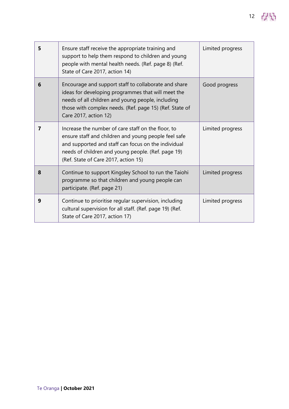| 5 | Ensure staff receive the appropriate training and<br>support to help them respond to children and young<br>people with mental health needs. (Ref. page 8) (Ref.<br>State of Care 2017, action 14)                                                               | Limited progress |
|---|-----------------------------------------------------------------------------------------------------------------------------------------------------------------------------------------------------------------------------------------------------------------|------------------|
| 6 | Encourage and support staff to collaborate and share<br>ideas for developing programmes that will meet the<br>needs of all children and young people, including<br>those with complex needs. (Ref. page 15) (Ref. State of<br>Care 2017, action 12)             | Good progress    |
| 7 | Increase the number of care staff on the floor, to<br>ensure staff and children and young people feel safe<br>and supported and staff can focus on the individual<br>needs of children and young people. (Ref. page 19)<br>(Ref. State of Care 2017, action 15) | Limited progress |
| 8 | Continue to support Kingsley School to run the Taiohi<br>programme so that children and young people can<br>participate. (Ref. page 21)                                                                                                                         | Limited progress |
| 9 | Continue to prioritise regular supervision, including<br>cultural supervision for all staff. (Ref. page 19) (Ref.<br>State of Care 2017, action 17)                                                                                                             | Limited progress |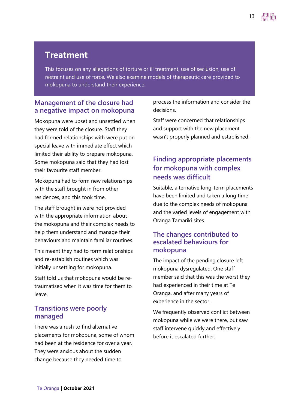### **Treatment**

This focuses on any allegations of torture or ill treatment, use of seclusion, use of restraint and use of force. We also examine models of therapeutic care provided to mokopuna to understand their experience.

#### **Management of the closure had a negative impact on mokopuna**

Mokopuna were upset and unsettled when they were told of the closure. Staff they had formed relationships with were put on special leave with immediate effect which limited their ability to prepare mokopuna. Some mokopuna said that they had lost their favourite staff member.

Mokopuna had to form new relationships with the staff brought in from other residences, and this took time.

The staff brought in were not provided with the appropriate information about the mokopuna and their complex needs to help them understand and manage their behaviours and maintain familiar routines.

This meant they had to form relationships and re-establish routines which was initially unsettling for mokopuna.

Staff told us that mokopuna would be retraumatised when it was time for them to leave.

#### **Transitions were poorly managed**

There was a rush to find alternative placements for mokopuna, some of whom had been at the residence for over a year. They were anxious about the sudden change because they needed time to

process the information and consider the decisions.

Staff were concerned that relationships and support with the new placement wasn't properly planned and established.

### **Finding appropriate placements for mokopuna with complex needs was difficult**

Suitable, alternative long-term placements have been limited and taken a long time due to the complex needs of mokopuna and the varied levels of engagement with Oranga Tamariki sites.

#### **The changes contributed to escalated behaviours for mokopuna**

The impact of the pending closure left mokopuna dysregulated. One staff member said that this was the worst they had experienced in their time at Te Oranga, and after many years of experience in the sector.

We frequently observed conflict between mokopuna while we were there, but saw staff intervene quickly and effectively before it escalated further.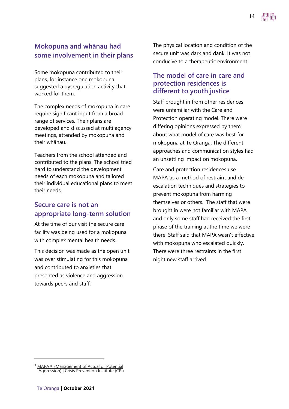#### **Mokopuna and whānau had some involvement in their plans**

Some mokopuna contributed to their plans, for instance one mokopuna suggested a dysregulation activity that worked for them.

The complex needs of mokopuna in care require significant input from a broad range of services. Their plans are developed and discussed at multi agency meetings, attended by mokopuna and their whānau.

Teachers from the school attended and contributed to the plans. The school tried hard to understand the development needs of each mokopuna and tailored their individual educational plans to meet their needs.

#### **Secure care is not an appropriate long-term solution**

At the time of our visit the secure care facility was being used for a mokopuna with complex mental health needs.

This decision was made as the open unit was over stimulating for this mokopuna and contributed to anxieties that presented as violence and aggression towards peers and staff.

The physical location and condition of the secure unit was dark and dank. It was not conducive to a therapeutic environment.

#### **The model of care in care and protection residences is different to youth justice**

Staff brought in from other residences were unfamiliar with the Care and Protection operating model. There were differing opinions expressed by them about what model of care was best for mokopuna at Te Oranga. The different approaches and communication styles had an unsettling impact on mokopuna.

Care and protection residences use MAPA $3$ as a method of restraint and deescalation techniques and strategies to prevent mokopuna from harming themselves or others. The staff that were brought in were not familiar with MAPA and only some staff had received the first phase of the training at the time we were there. Staff said that MAPA wasn't effective with mokopuna who escalated quickly. There were three restraints in the first night new staff arrived.

<sup>3</sup> [MAPA® \(Management of Actual or Potential](https://www.crisisprevention.com/en-NZ/Our-Programs/MAPA-Management-of-Actual-or-Potential-Aggression)  [Aggression\) | Crisis Prevention Institute \(CPI\)](https://www.crisisprevention.com/en-NZ/Our-Programs/MAPA-Management-of-Actual-or-Potential-Aggression)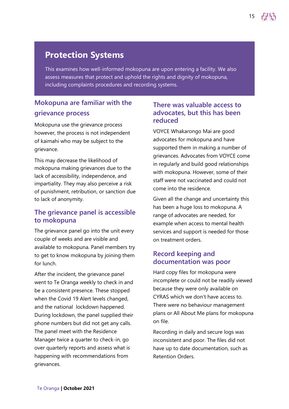### **Protection Systems**

This examines how well-informed mokopuna are upon entering a facility. We also assess measures that protect and uphold the rights and dignity of mokopuna, including complaints procedures and recording systems.

### **Mokopuna are familiar with the grievance process**

Mokopuna use the grievance process however, the process is not independent of kaimahi who may be subject to the grievance.

This may decrease the likelihood of mokopuna making grievances due to the lack of accessibility, independence, and impartiality. They may also perceive a risk of punishment, retribution, or sanction due to lack of anonymity.

#### **The grievance panel is accessible to mokopuna**

The grievance panel go into the unit every couple of weeks and are visible and available to mokopuna. Panel members try to get to know mokopuna by joining them for lunch.

After the incident, the grievance panel went to Te Oranga weekly to check in and be a consistent presence. These stopped when the Covid 19 Alert levels changed, and the national lockdown happened. During lockdown, the panel supplied their phone numbers but did not get any calls. The panel meet with the Residence Manager twice a quarter to check-in, go over quarterly reports and assess what is happening with recommendations from grievances.

#### **There was valuable access to advocates, but this has been reduced**

VOYCE Whakarongo Mai are good advocates for mokopuna and have supported them in making a number of grievances. Advocates from VOYCE come in regularly and build good relationships with mokopuna. However, some of their staff were not vaccinated and could not come into the residence.

Given all the change and uncertainty this has been a huge loss to mokopuna. A range of advocates are needed, for example when access to mental health services and support is needed for those on treatment orders.

#### **Record keeping and documentation was poor**

Hard copy files for mokopuna were incomplete or could not be readily viewed because they were only available on CYRAS which we don't have access to. There were no behaviour management plans or All About Me plans for mokopuna on file.

Recording in daily and secure logs was inconsistent and poor. The files did not have up to date documentation, such as Retention Orders.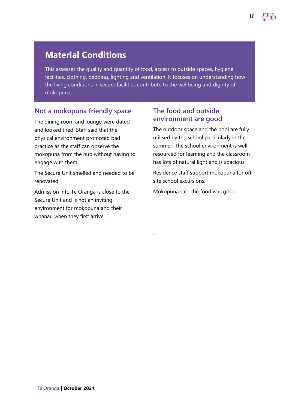### **Material Conditions**

This assesses the quality and quantity of food, access to outside spaces, hygiene facilities, clothing, bedding, lighting and ventilation. It focuses on understanding how the living conditions in secure facilities contribute to the wellbeing and dignity of mokopuna.

.

#### **Not a mokopuna friendly space**

The dining room and lounge were dated and looked tired. Staff said that the physical environment promoted bad practice as the staff can observe the mokopuna from the hub without having to engage with them.

The Secure Unit smelled and needed to be renovated.

Admission into Te Oranga is close to the Secure Unit and is not an inviting environment for mokopuna and their whānau when they first arrive.

#### **The food and outside environment are good**

The outdoor space and the pool are fully utilised by the school particularly in the summer. The school environment is wellresourced for learning and the classroom has lots of natural light and is spacious.

Residence staff support mokopuna for offsite school excursions.

Mokopuna said the food was good.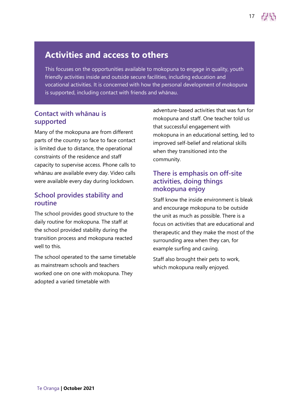### **Activities and access to others**

This focuses on the opportunities available to mokopuna to engage in quality, youth friendly activities inside and outside secure facilities, including education and vocational activities. It is concerned with how the personal development of mokopuna is supported, including contact with friends and whānau.

#### **Contact with whānau is supported**

Many of the mokopuna are from different parts of the country so face to face contact is limited due to distance, the operational constraints of the residence and staff capacity to supervise access. Phone calls to whānau are available every day. Video calls were available every day during lockdown.

#### **School provides stability and routine**

The school provides good structure to the daily routine for mokopuna. The staff at the school provided stability during the transition process and mokopuna reacted well to this.

The school operated to the same timetable as mainstream schools and teachers worked one on one with mokopuna. They adopted a varied timetable with

adventure-based activities that was fun for mokopuna and staff. One teacher told us that successful engagement with mokopuna in an educational setting, led to improved self-belief and relational skills when they transitioned into the community.

#### **There is emphasis on off-site activities, doing things mokopuna enjoy**

Staff know the inside environment is bleak and encourage mokopuna to be outside the unit as much as possible. There is a focus on activities that are educational and therapeutic and they make the most of the surrounding area when they can, for example surfing and caving.

Staff also brought their pets to work, which mokopuna really enjoyed.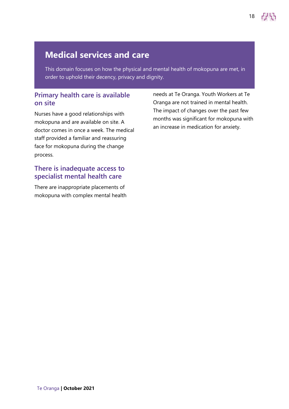### **Medical services and care**

This domain focuses on how the physical and mental health of mokopuna are met, in order to uphold their decency, privacy and dignity.

#### **Primary health care is available on site**

Nurses have a good relationships with mokopuna and are available on site. A doctor comes in once a week. The medical staff provided a familiar and reassuring face for mokopuna during the change process.

#### **There is inadequate access to specialist mental health care**

There are inappropriate placements of mokopuna with complex mental health needs at Te Oranga. Youth Workers at Te Oranga are not trained in mental health. The impact of changes over the past few months was significant for mokopuna with an increase in medication for anxiety.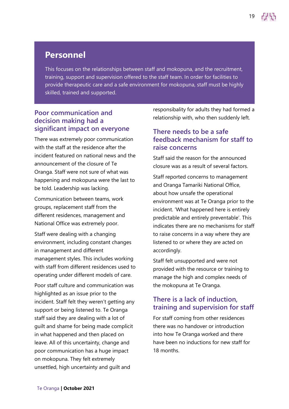### **Personnel**

This focuses on the relationships between staff and mokopuna, and the recruitment, training, support and supervision offered to the staff team. In order for facilities to provide therapeutic care and a safe environment for mokopuna, staff must be highly skilled, trained and supported.

#### **Poor communication and decision making had a significant impact on everyone**

There was extremely poor communication with the staff at the residence after the incident featured on national news and the announcement of the closure of Te Oranga. Staff were not sure of what was happening and mokopuna were the last to be told. Leadership was lacking.

Communication between teams, work groups, replacement staff from the different residences, management and National Office was extremely poor.

Staff were dealing with a changing environment, including constant changes in management and different management styles. This includes working with staff from different residences used to operating under different models of care.

Poor staff culture and communication was highlighted as an issue prior to the incident. Staff felt they weren't getting any support or being listened to. Te Oranga staff said they are dealing with a lot of guilt and shame for being made complicit in what happened and then placed on leave. All of this uncertainty, change and poor communication has a huge impact on mokopuna. They felt extremely unsettled, high uncertainty and guilt and

responsibality for adults they had formed a relationship with, who then suddenly left.

#### **There needs to be a safe feedback mechanism for staff to raise concerns**

Staff said the reason for the announced closure was as a result of several factors.

Staff reported concerns to management and Oranga Tamariki National Office, about how unsafe the operational environment was at Te Oranga prior to the incident. 'What happened here is entirely predictable and entirely preventable'. This indicates there are no mechanisms for staff to raise concerns in a way where they are listened to or where they are acted on accordingly.

Staff felt unsupported and were not provided with the resource or training to manage the high and complex needs of the mokopuna at Te Oranga.

#### **There is a lack of induction, training and supervision for staff**

For staff coming from other residences there was no handover or introduction into how Te Oranga worked and there have been no inductions for new staff for 18 months.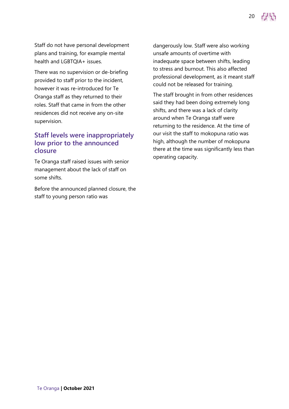Staff do not have personal development plans and training, for example mental health and LGBTQIA+ issues.

There was no supervision or de-briefing provided to staff prior to the incident, however it was re-introduced for Te Oranga staff as they returned to their roles. Staff that came in from the other residences did not receive any on-site supervision.

#### **Staff levels were inappropriately low prior to the announced closure**

Te Oranga staff raised issues with senior management about the lack of staff on some shifts.

Before the announced planned closure, the staff to young person ratio was

dangerously low. Staff were also working unsafe amounts of overtime with inadequate space between shifts, leading to stress and burnout. This also affected professional development, as it meant staff could not be released for training.

20

The staff brought in from other residences said they had been doing extremely long shifts, and there was a lack of clarity around when Te Oranga staff were returning to the residence. At the time of our visit the staff to mokopuna ratio was high, although the number of mokopuna there at the time was significantly less than operating capacity.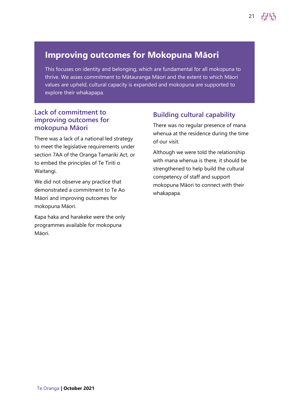### **Improving outcomes for Mokopuna Māori**

This focuses on identity and belonging, which are fundamental for all mokopuna to thrive. We asses commitment to Mātauranga Māori and the extent to which Māori values are upheld, cultural capacity is expanded and mokopuna are supported to explore their whakapapa.

#### **Lack of commitment to improving outcomes for mokopuna Māori**

There was a lack of a national led strategy to meet the legislative requirements under section 7AA of the Oranga Tamariki Act, or to embed the principles of Te Tiriti o Waitangi.

We did not observe any practice that demonstrated a commitment to Te Ao Māori and improving outcomes for mokopuna Māori.

Kapa haka and harakeke were the only programmes available for mokopuna Māori.

#### **Building cultural capability**

There was no regular presence of mana whenua at the residence during the time of our visit.

21

Although we were told the relationship with mana whenua is there, it should be strengthened to help build the cultural competency of staff and support mokopuna Māori to connect with their whakapapa.